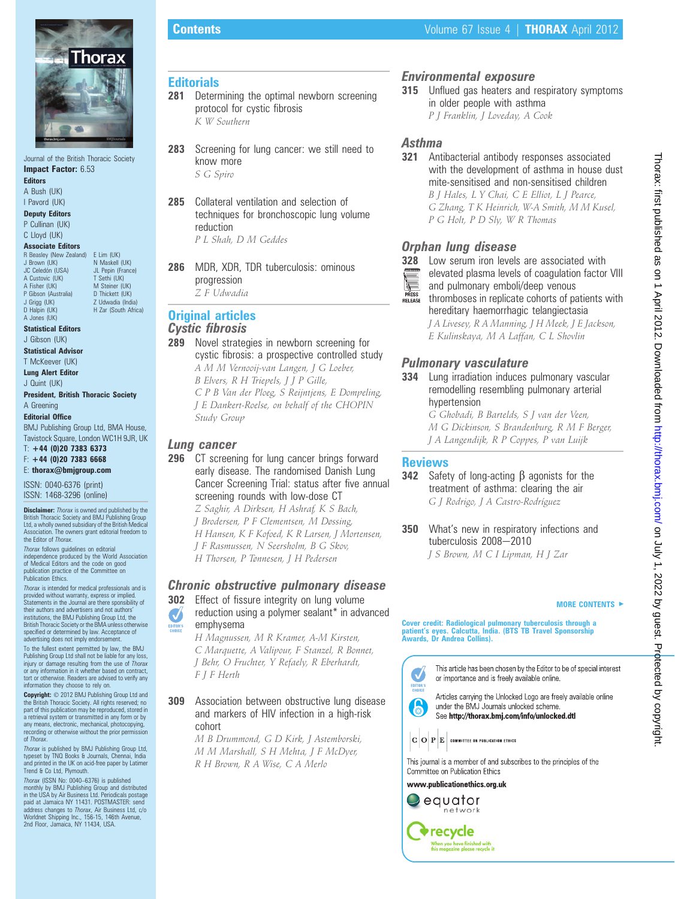

Journal of the British Thoracic Society Impact Factor: 6.53

#### Editors

A Bush (UK) I Pavord (UK)

Deputy Editors P Cullinan (UK) C Lloyd (UK)

#### Associate Editors

R Beasley (New Zealand) E Lim (UK) N Maskell (UK)<br>JL Pepin (France) JC Celedón (USA) JL Pepin (France)<br>A Custovic (UK) T Sethi (UK) A Custovic (UK)<br>A Fisher (UK) M Steiner (UK)<br>D Thickett (UK) P Gibson (Australia)<br>J Grigg (UK) Z Udwadia (India) D Halpin (UK) A Jones (UK) H Zar (South Africa)

Statistical Editors J Gibson (UK)

Statistical Advisor T McKeever (UK)

Lung Alert Editor J Quint (UK) President, British Thoracic Society

A Greening

Editorial Office

BMJ Publishing Group Ltd, BMA House, Tavistock Square, London WC1H 9JR, UK

 $T: +44$  (0)20 7383 6373 F: +44 (0)20 7383 6668

#### E: thorax@bmjgroup.com

ISSN: 0040-6376 (print) ISSN: 1468-3296 (online)

**Disclaimer:** *Thorax* is owned and published by the British Thoracic Society and BMJ Publishing Group Ltd, a wholly owned subsidiary of the British Medical ociation. The owners grant editorial freedom to the Editor of Thorax.

Thorax follows guidelines on editorial independence produced by the World Association of Medical Editors and the code on good publication practice of the Committee on Publication Ethics.

Thorax is intended for medical professionals and is provided without warranty, express or implied. Statements in the Journal are there sponsibility of their authors and advertisers and not authors' institutions, the BMJ Publishing Group Ltd, the British Thoracic Society or the BMA unless otherwise specified or determined by law. Acceptance of advertising does not imply endorsement.

To the fullest extent permitted by law, the BMJ Publishing Group Ltd shall not be liable for any loss, injury or damage resulting from the use of Thorax or any information in it whether based on contract, tort or otherwise. Readers are advised to verify any information they choose to rely on.

Copyright:  $\odot$  2012 BMJ Publishing Group Ltd and tish Thoracic Society. All rights reserved; no part of this publication may be reproduced, stored in a retrieval system or transmitted in any form or by any means, electronic, mechanical, photocopy recording or otherwise without the prior permission of Thorax.

Thorax is published by BMJ Publishing Group Ltd, typeset by TNQ Books & Journals, Chennai, India and printed in the UK on acid-free paper by Latimer Trend & Co Ltd, Plymouth

Thorax (ISSN No: 0040–6376) is published monthly by BMJ Publishing Group and distributed in the USA by Air Business Ltd. Periodicals postage paid at Jamaica NY 11431. POSTMASTER: send address changes to *Thorax*, Air Business Ltd, c/o<br>Worldnet Shipping Inc., 156-15, 146th Avenue,<br>2nd Floor, Jamaica, NY 11434, USA.

#### **Editorials**

- 281 Determining the optimal newborn screening protocol for cystic fibrosis K W Southern
- 283 Screening for lung cancer: we still need to know more S G Spiro
- 285 Collateral ventilation and selection of techniques for bronchoscopic lung volume reduction

P L Shah, D M Geddes

286 MDR, XDR, TDR tuberculosis: ominous progression Z F Udwadia

## Original articles

## Cystic fibrosis

289 Novel strategies in newborn screening for cystic fibrosis: a prospective controlled study A M M Vernooij-van Langen, J G Loeber, B Elvers, R H Triepels, J J P Gille, C P B Van der Ploeg, S Reijntjens, E Dompeling, J E Dankert-Roelse, on behalf of the CHOPIN Study Group

#### Lung cancer

296 CT screening for lung cancer brings forward early disease. The randomised Danish Lung Cancer Screening Trial: status after five annual screening rounds with low-dose CT

Z Saghir, A Dirksen, H Ashraf, K S Bach, J Brodersen, P F Clementsen, M Døssing, H Hansen, K F Kofoed, K R Larsen, J Mortensen, J F Rasmussen, N Seersholm, B G Skov, H Thorsen, P Tønnesen, J H Pedersen

Chronic obstructive pulmonary disease 302 Effect of fissure integrity on lung volume

reduction using a polymer sealant\* in advanced  $\sqrt{}$ emphysema

H Magnussen, M R Kramer, A-M Kirsten, C Marquette, A Valipour, F Stanzel, R Bonnet, J Behr, O Fruchter, Y Refaely, R Eberhardt, F J F Herth

**309** Association between obstructive lung disease and markers of HIV infection in a high-risk cohort

M B Drummond, G D Kirk, J Astemborski, M M Marshall, S H Mehta, J F McDyer, R H Brown, R A Wise, C A Merlo

#### Environmental exposure

315 Unflued gas heaters and respiratory symptoms in older people with asthma P J Franklin, J Loveday, A Cook

## Asthma

321 Antibacterial antibody responses associated with the development of asthma in house dust mite-sensitised and non-sensitised children B J Hales, L Y Chai, C E Elliot, L J Pearce, G Zhang, T K Heinrich, W-A Smith, M M Kusel, P G Holt, P D Sly, W R Thomas

## Orphan lung disease

- 328 Low serum iron levels are associated with
	- elevated plasma levels of coagulation factor VIII
- $\leftarrow$ PRESS RELEASE
	- and pulmonary emboli/deep venous thromboses in replicate cohorts of patients with hereditary haemorrhagic telangiectasia J A Livesey, R A Manning, J H Meek, J E Jackson,

E Kulinskaya, M A Laffan, C L Shovlin

## Pulmonary vasculature

334 Lung irradiation induces pulmonary vascular remodelling resembling pulmonary arterial hypertension

G Ghobadi, B Bartelds, S J van der Veen, M G Dickinson, S Brandenburg, R M F Berger, J A Langendijk, R P Coppes, P van Luijk

#### **Reviews**

- **342** Safety of long-acting  $\beta$  agonists for the treatment of asthma: clearing the air G J Rodrigo, J A Castro-Rodríguez
- **350** What's new in respiratory infections and tuberculosis  $2008 - 2010$ J S Brown, M C I Lipman, H J Zar

#### MORE CONTENTS  $\blacktriangleright$

Cover credit: Radiological pulmonary tuberculosis through a patient's eyes. Calcutta, India. (BTS TB Travel Sponsorship Awards, Dr Andrea Collins).



This article has been chosen by the Editor to be of special interest or importance and is freely available online.

Articles carrying the Unlocked Logo are freely available online under the BMJ Journals unlocked scheme. See http://thorax.bmj.com/info/unlocked.dtl

 $|\mathbf{C}|\mathbf{O}|\mathbf{P}|\mathbf{E}|$  committee on publication ethics:

This journal is a member of and subscribes to the principles of the Committee on Publication Ethics

www.publicationethics.org.uk

 $\bullet$  equator network

**V**recycle When you have finished with sazine please recycle it